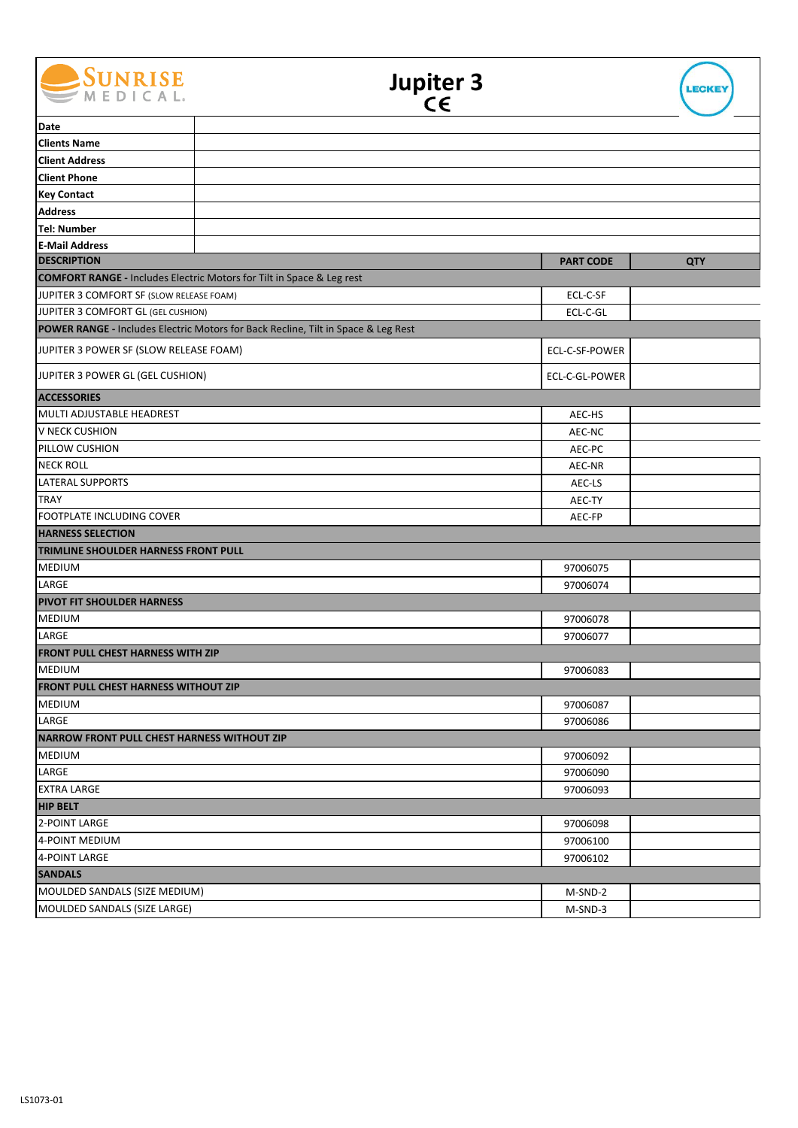

| Date                                                                             |                                                                                   |                  |            |  |
|----------------------------------------------------------------------------------|-----------------------------------------------------------------------------------|------------------|------------|--|
| <b>Clients Name</b>                                                              |                                                                                   |                  |            |  |
| <b>Client Address</b>                                                            |                                                                                   |                  |            |  |
| <b>Client Phone</b>                                                              |                                                                                   |                  |            |  |
| <b>Key Contact</b>                                                               |                                                                                   |                  |            |  |
| <b>Address</b>                                                                   |                                                                                   |                  |            |  |
| <b>Tel: Number</b>                                                               |                                                                                   |                  |            |  |
| <b>E-Mail Address</b>                                                            |                                                                                   |                  |            |  |
| <b>DESCRIPTION</b>                                                               |                                                                                   | <b>PART CODE</b> | <b>QTY</b> |  |
| <b>COMFORT RANGE - Includes Electric Motors for Tilt in Space &amp; Leg rest</b> |                                                                                   |                  |            |  |
| JUPITER 3 COMFORT SF (SLOW RELEASE FOAM)                                         |                                                                                   | ECL-C-SF         |            |  |
| JUPITER 3 COMFORT GL (GEL CUSHION)                                               |                                                                                   | ECL-C-GL         |            |  |
|                                                                                  | POWER RANGE - Includes Electric Motors for Back Recline, Tilt in Space & Leg Rest |                  |            |  |
| JUPITER 3 POWER SF (SLOW RELEASE FOAM)                                           |                                                                                   | ECL-C-SF-POWER   |            |  |
| JUPITER 3 POWER GL (GEL CUSHION)                                                 |                                                                                   | ECL-C-GL-POWER   |            |  |
| <b>ACCESSORIES</b>                                                               |                                                                                   |                  |            |  |
| MULTI ADJUSTABLE HEADREST                                                        |                                                                                   | AEC-HS           |            |  |
| V NECK CUSHION                                                                   |                                                                                   | AEC-NC           |            |  |
| PILLOW CUSHION                                                                   |                                                                                   | AEC-PC           |            |  |
| <b>NECK ROLL</b>                                                                 |                                                                                   | AEC-NR           |            |  |
| <b>LATERAL SUPPORTS</b>                                                          |                                                                                   | AEC-LS           |            |  |
| <b>TRAY</b>                                                                      |                                                                                   | AEC-TY           |            |  |
| FOOTPLATE INCLUDING COVER                                                        |                                                                                   | AEC-FP           |            |  |
| <b>HARNESS SELECTION</b>                                                         |                                                                                   |                  |            |  |
| <b>TRIMLINE SHOULDER HARNESS FRONT PULL</b>                                      |                                                                                   |                  |            |  |
| <b>MEDIUM</b>                                                                    |                                                                                   | 97006075         |            |  |
| LARGE                                                                            |                                                                                   | 97006074         |            |  |
| <b>PIVOT FIT SHOULDER HARNESS</b>                                                |                                                                                   |                  |            |  |
| <b>MEDIUM</b>                                                                    |                                                                                   | 97006078         |            |  |
| LARGE                                                                            |                                                                                   | 97006077         |            |  |
| <b>FRONT PULL CHEST HARNESS WITH ZIP</b>                                         |                                                                                   |                  |            |  |
| <b>MEDIUM</b>                                                                    |                                                                                   | 97006083         |            |  |
| <b>FRONT PULL CHEST HARNESS WITHOUT ZIP</b>                                      |                                                                                   |                  |            |  |
| <b>MEDIUM</b>                                                                    |                                                                                   | 97006087         |            |  |
| LARGE                                                                            |                                                                                   | 97006086         |            |  |
| <b>NARROW FRONT PULL CHEST HARNESS WITHOUT ZIP</b>                               |                                                                                   |                  |            |  |
| <b>MEDIUM</b>                                                                    |                                                                                   | 97006092         |            |  |
| LARGE                                                                            |                                                                                   | 97006090         |            |  |
| <b>EXTRA LARGE</b>                                                               |                                                                                   | 97006093         |            |  |
| <b>HIP BELT</b>                                                                  |                                                                                   |                  |            |  |
| 2-POINT LARGE                                                                    |                                                                                   | 97006098         |            |  |
| 4-POINT MEDIUM<br>4-POINT LARGE                                                  |                                                                                   | 97006100         |            |  |
| 97006102<br><b>SANDALS</b>                                                       |                                                                                   |                  |            |  |
|                                                                                  |                                                                                   |                  |            |  |
| MOULDED SANDALS (SIZE MEDIUM)                                                    |                                                                                   | M-SND-2          |            |  |
| MOULDED SANDALS (SIZE LARGE)                                                     |                                                                                   | M-SND-3          |            |  |